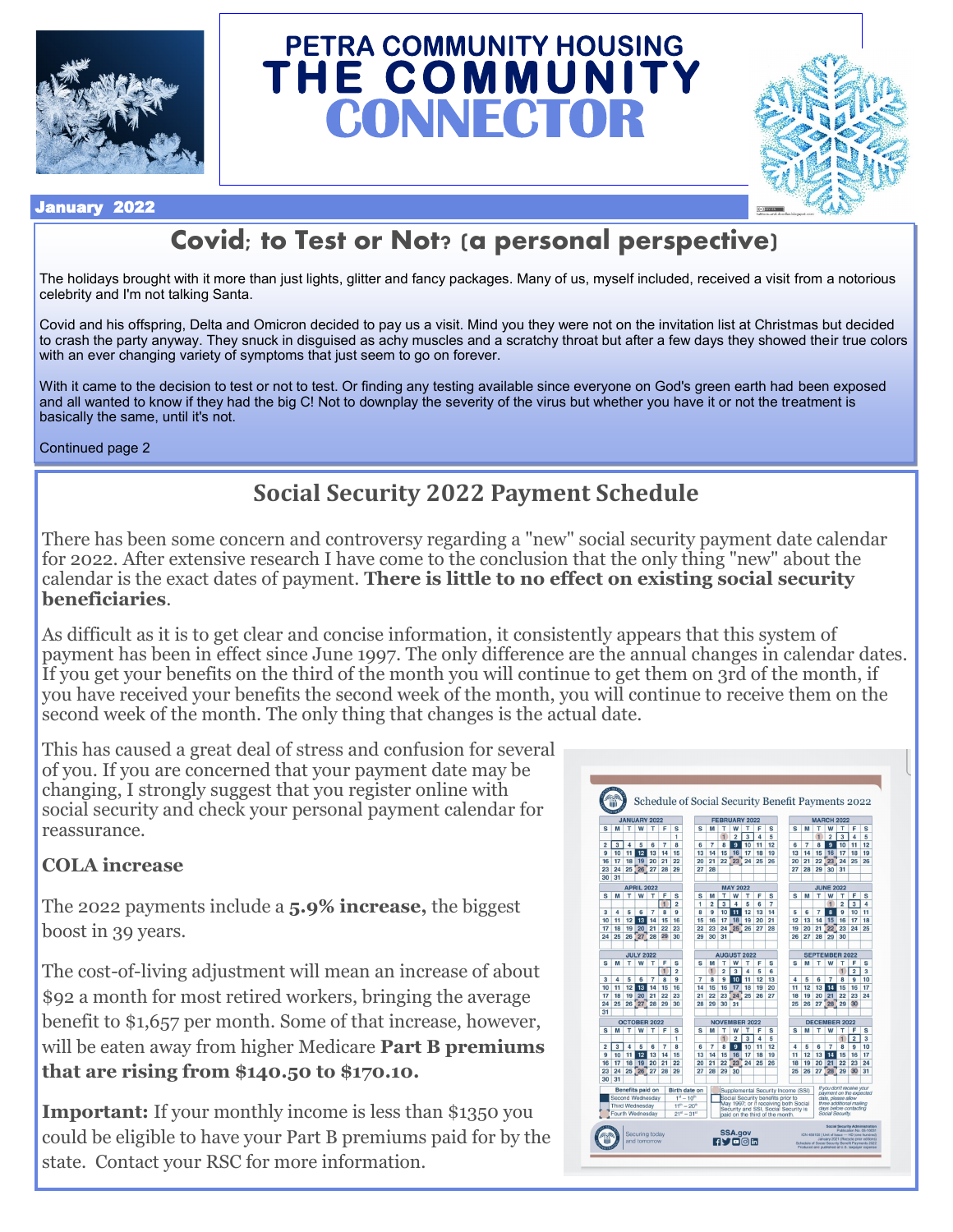

# PETRA COMMUNITY HOUSING THE COMMUNIT<br>CONNECTOR



#### January 2022

## **Covid; to Test or Not? (a personal perspective)**

The holidays brought with it more than just lights, glitter and fancy packages. Many of us, myself included, received a visit from a notorious celebrity and I'm not talking Santa.

Covid and his offspring, Delta and Omicron decided to pay us a visit. Mind you they were not on the invitation list at Christmas but decided to crash the party anyway. They snuck in disguised as achy muscles and a scratchy throat but after a few days they showed their true colors with an ever changing variety of symptoms that just seem to go on forever.

With it came to the decision to test or not to test. Or finding any testing available since everyone on God's green earth had been exposed and all wanted to know if they had the big C! Not to downplay the severity of the virus but whether you have it or not the treatment is basically the same, until it's not.

Continued page 2

## **Social Security 2022 Payment Schedule**

There has been some concern and controversy regarding a "new" social security payment date calendar for 2022. After extensive research I have come to the conclusion that the only thing "new" about the calendar is the exact dates of payment. **There is little to no effect on existing social security beneficiaries**.

As difficult as it is to get clear and concise information, it consistently appears that this system of payment has been in effect since June 1997. The only difference are the annual changes in calendar dates. If you get your benefits on the third of the month you will continue to get them on 3rd of the month, if you have received your benefits the second week of the month, you will continue to receive them on the second week of the month. The only thing that changes is the actual date.

This has caused a great deal of stress and confusion for several of you. If you are concerned that your payment date may be changing, I strongly suggest that you register online with social security and check your personal payment calendar for reassurance.

#### **COLA increase**

The 2022 payments include a **5.9% increase,** the biggest boost in 39 years.

The cost-of-living adjustment will mean an increase of about \$92 a month for most retired workers, bringing the average benefit to \$1,657 per month. Some of that increase, however, will be eaten away from higher Medicare **Part B premiums that are rising from \$140.50 to \$170.10.**

**Important:** If your monthly income is less than \$1350 you could be eligible to have your Part B premiums paid for by the state. Contact your RSC for more information.